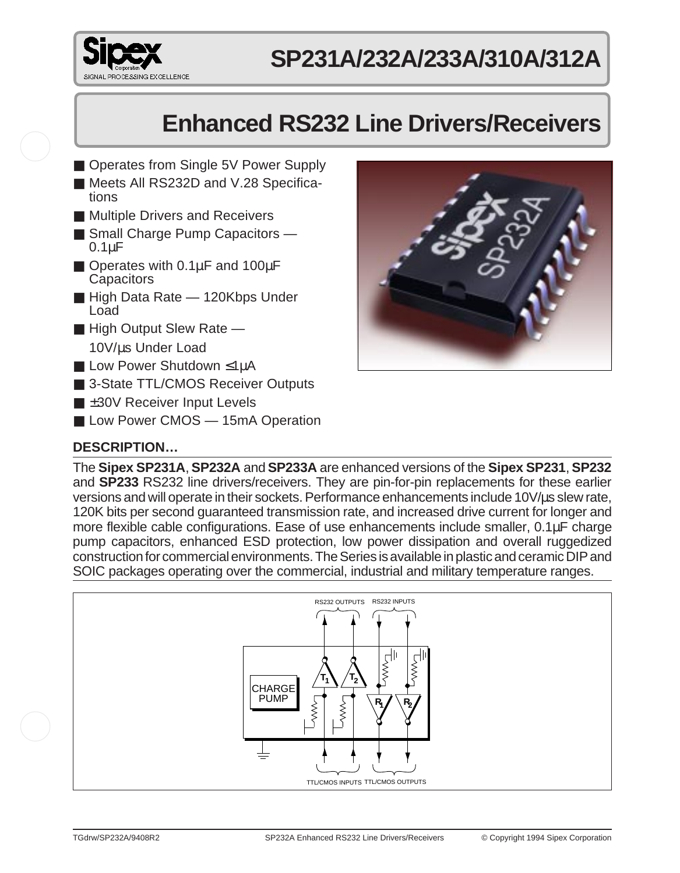

## **SP231A/232A/233A/310A/312A**

# **Enhanced RS232 Line Drivers/Receivers**

- Operates from Single 5V Power Supply
- Meets All RS232D and V.28 Specifications
- Multiple Drivers and Receivers
- Small Charge Pump Capacitors 0.1µF
- Operates with 0.1µF and 100µF **Capacitors**
- High Data Rate 120Kbps Under Load
- $\blacksquare$  High Output Slew Rate 10V/µs Under Load
- Low Power Shutdown ≤1µA
- 3-State TTL/CMOS Receiver Outputs
- $\blacksquare$   $\pm$ 30V Receiver Input Levels
- Low Power CMOS 15mA Operation

#### **DESCRIPTION…**



The **Sipex SP231A**, **SP232A** and **SP233A** are enhanced versions of the **Sipex SP231**, **SP232** and **SP233** RS232 line drivers/receivers. They are pin-for-pin replacements for these earlier versions and will operate in their sockets. Performance enhancements include 10V/µs slew rate, 120K bits per second guaranteed transmission rate, and increased drive current for longer and more flexible cable configurations. Ease of use enhancements include smaller,  $0.1\mu F$  charge pump capacitors, enhanced ESD protection, low power dissipation and overall ruggedized construction for commercial environments. The Series is available in plastic and ceramic DIP and SOIC packages operating over the commercial, industrial and military temperature ranges.

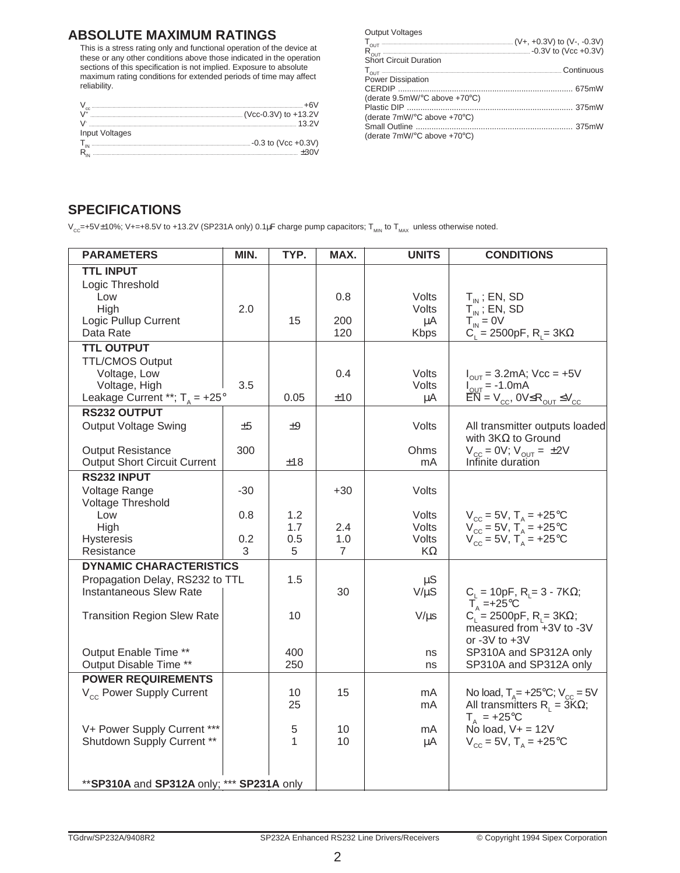#### **ABSOLUTE MAXIMUM RATINGS**

This is a stress rating only and functional operation of the device at these or any other conditions above those indicated in the operation sections of this specification is not implied. Exposure to absolute maximum rating conditions for extended periods of time may affect reliability.

|                | (Vcc-0.3V) to +13.2V |
|----------------|----------------------|
|                |                      |
| Input Voltages |                      |
|                | -0.3 to (Vcc +0.3V)  |
|                |                      |

Output Voltages

| Short Circuit Duration        |  |
|-------------------------------|--|
|                               |  |
| Power Dissipation             |  |
|                               |  |
| (derate 9.5mW/°C above +70°C) |  |
|                               |  |
| (derate 7mW/°C above +70°C)   |  |
|                               |  |
| (derate 7mW/°C above +70°C)   |  |

#### **SPECIFICATIONS**

 $V_{\text{cr}}$ =+5V±10%; V+=+8.5V to +13.2V (SP231A only) 0.1µF charge pump capacitors; T<sub>MIN</sub> to T<sub>MAX</sub> unless otherwise noted.

| <b>PARAMETERS</b>                          | MIN.  | TYP.    | MAX.           | <b>UNITS</b> | <b>CONDITIONS</b>                                                                   |
|--------------------------------------------|-------|---------|----------------|--------------|-------------------------------------------------------------------------------------|
| <b>TTL INPUT</b>                           |       |         |                |              |                                                                                     |
| Logic Threshold                            |       |         |                |              |                                                                                     |
| Low                                        |       |         | 0.8            | Volts        | $T_{IN}$ ; EN, SD                                                                   |
| High                                       | 2.0   |         |                | Volts        | $T_{IN}$ ; EN, SD                                                                   |
| Logic Pullup Current                       |       | 15      | 200            | μA           | $T_{IN} = 0V$                                                                       |
| Data Rate                                  |       |         | 120            | <b>Kbps</b>  | $C_1 = 2500pF$ , $R_1 = 3K\Omega$                                                   |
| <b>TTL OUTPUT</b>                          |       |         |                |              |                                                                                     |
| <b>TTL/CMOS Output</b><br>Voltage, Low     |       |         | 0.4            | Volts        |                                                                                     |
| Voltage, High                              | 3.5   |         |                | Volts        | $I_{OUT} = 3.2 \text{mA}$ ; $Vcc = +5V$<br>$I_{\text{OUT}} = -1.0 \text{mA}$        |
| Leakage Current **; $T_A = +25^\circ$      |       | 0.05    | ±10            | μA           | $\overrightarrow{EN}$ = $V_{\text{cc}}$ , $0V \le R_{\text{OUT}} \le V_{\text{cc}}$ |
| <b>RS232 OUTPUT</b>                        |       |         |                |              |                                                                                     |
| <b>Output Voltage Swing</b>                | ±5    | $\pm 9$ |                | Volts        | All transmitter outputs loaded                                                      |
|                                            |       |         |                |              | with $3K\Omega$ to Ground                                                           |
| <b>Output Resistance</b>                   | 300   |         |                | Ohms         | $V_{cc} = 0V$ ; $V_{OUT} = \pm 2V$                                                  |
| <b>Output Short Circuit Current</b>        |       | ±18     |                | mA           | Infinite duration                                                                   |
| <b>RS232 INPUT</b>                         |       |         |                |              |                                                                                     |
| Voltage Range                              | $-30$ |         | $+30$          | Volts        |                                                                                     |
| Voltage Threshold                          |       |         |                |              |                                                                                     |
| Low                                        | 0.8   | 1.2     |                | Volts        | $V_{\text{cc}} = 5V$ , $T_A = +25^{\circ}C$                                         |
| High                                       |       | 1.7     | 2.4            | Volts        | $V_{cc} = 5V$ , $T_A = +25$ °C                                                      |
| Hysteresis                                 | 0.2   | 0.5     | 1.0            | Volts        | $V_{\text{CC}}^{\text{C}} = 5V$ , $T_A^{\text{C}} = +25^{\circ}\text{C}$            |
| Resistance                                 | 3     | 5       | $\overline{7}$ | ΚΩ           |                                                                                     |
| <b>DYNAMIC CHARACTERISTICS</b>             |       |         |                |              |                                                                                     |
| Propagation Delay, RS232 to TTL            |       | 1.5     |                | μS           |                                                                                     |
| Instantaneous Slew Rate                    |       |         | 30             | $V/\mu S$    | $C_1 = 10pF$ , $R_1 = 3 - 7K\Omega$ ;                                               |
| <b>Transition Region Slew Rate</b>         |       | 10      |                | $V/\mu s$    | $T_{A} = +25^{\circ}C$<br>$C_1^2 = 2500pF$ , R <sub>1</sub> = 3K $\Omega$ ;         |
|                                            |       |         |                |              | measured from +3V to -3V                                                            |
|                                            |       |         |                |              | or $-3V$ to $+3V$                                                                   |
| Output Enable Time **                      |       | 400     |                | ns           | SP310A and SP312A only                                                              |
| Output Disable Time **                     |       | 250     |                | ns           | SP310A and SP312A only                                                              |
| <b>POWER REQUIREMENTS</b>                  |       |         |                |              |                                                                                     |
| V <sub>cc</sub> Power Supply Current       |       | 10      | 15             | mA           | No load, $T_{A} = +25^{\circ}C$ ; $V_{CC} = 5V$                                     |
|                                            |       | 25      |                | mA           | All transmitters $R_1 = 3K\Omega$ ;                                                 |
|                                            |       |         |                |              | $T_{A} = +25^{\circ}C$                                                              |
| V+ Power Supply Current ***                |       | 5       | 10             | mA           | No load, $V+=12V$                                                                   |
| Shutdown Supply Current **                 |       | 1       | 10             | μA           | $V_{\text{cc}} = 5V$ , $T_{\text{A}} = +25^{\circ}C$                                |
|                                            |       |         |                |              |                                                                                     |
|                                            |       |         |                |              |                                                                                     |
| ** SP310A and SP312A only; *** SP231A only |       |         |                |              |                                                                                     |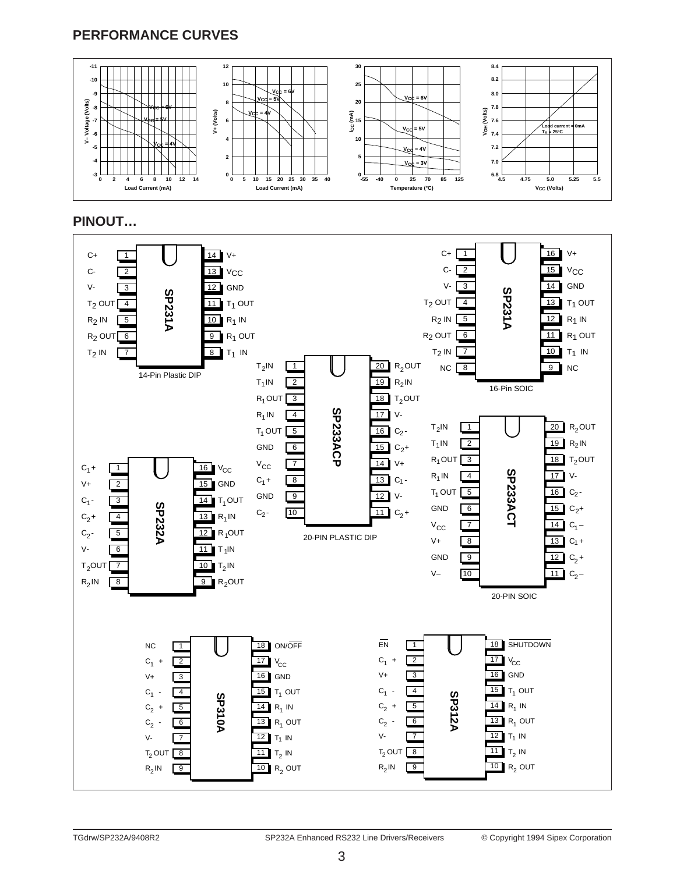#### **PERFORMANCE CURVES**



#### **PINOUT…**



TGdrw/SP232A/9408R2 SP232A Enhanced RS232 Line Drivers/Receivers © Copyright 1994 Sipex Corporation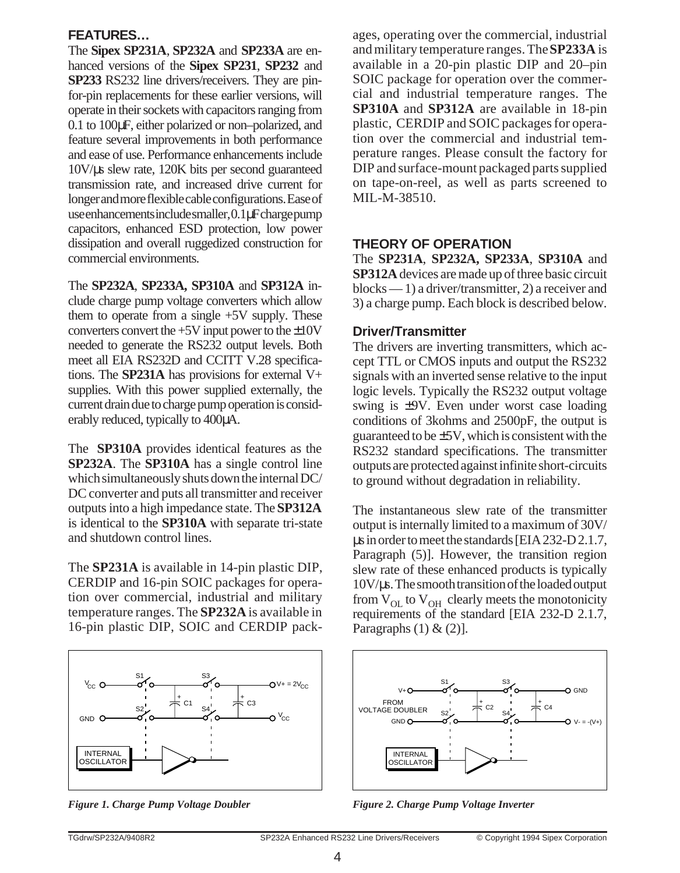#### **FEATURES…**

The **Sipex SP231A**, **SP232A** and **SP233A** are enhanced versions of the **Sipex SP231**, **SP232** and **SP233** RS232 line drivers/receivers. They are pinfor-pin replacements for these earlier versions, will operate in their sockets with capacitors ranging from 0.1 to 100µF, either polarized or non–polarized, and feature several improvements in both performance and ease of use. Performance enhancements include 10V/µs slew rate, 120K bits per second guaranteed transmission rate, and increased drive current for longer and more flexible cable configurations. Ease of use enhancements include smaller, 0.1µF charge pump capacitors, enhanced ESD protection, low power dissipation and overall ruggedized construction for commercial environments.

The **SP232A**, **SP233A, SP310A** and **SP312A** include charge pump voltage converters which allow them to operate from a single +5V supply. These converters convert the  $+5V$  input power to the  $\pm 10V$ needed to generate the RS232 output levels. Both meet all EIA RS232D and CCITT V.28 specifications. The **SP231A** has provisions for external V+ supplies. With this power supplied externally, the current drain due to charge pump operation is considerably reduced, typically to 400µA.

The **SP310A** provides identical features as the **SP232A**. The **SP310A** has a single control line which simultaneously shuts down the internal DC/ DC converter and puts all transmitter and receiver outputs into a high impedance state. The **SP312A** is identical to the **SP310A** with separate tri-state and shutdown control lines.

The **SP231A** is available in 14-pin plastic DIP, CERDIP and 16-pin SOIC packages for operation over commercial, industrial and military temperature ranges. The **SP232A** is available in 16-pin plastic DIP, SOIC and CERDIP pack-



*Figure 1. Charge Pump Voltage Doubler Figure 2. Charge Pump Voltage Inverter*

ages, operating over the commercial, industrial and military temperature ranges. The **SP233A** is available in a 20-pin plastic DIP and 20–pin SOIC package for operation over the commercial and industrial temperature ranges. The **SP310A** and **SP312A** are available in 18-pin plastic, CERDIP and SOIC packages for operation over the commercial and industrial temperature ranges. Please consult the factory for DIP and surface-mount packaged parts supplied on tape-on-reel, as well as parts screened to MIL-M-38510.

#### **THEORY OF OPERATION**

The **SP231A**, **SP232A, SP233A**, **SP310A** and **SP312A** devices are made up of three basic circuit blocks — 1) a driver/transmitter, 2) a receiver and 3) a charge pump. Each block is described below.

#### **Driver/Transmitter**

The drivers are inverting transmitters, which accept TTL or CMOS inputs and output the RS232 signals with an inverted sense relative to the input logic levels. Typically the RS232 output voltage swing is ±9V. Even under worst case loading conditions of 3kohms and 2500pF, the output is guaranteed to be  $\pm$ 5V, which is consistent with the RS232 standard specifications. The transmitter outputs are protected against infinite short-circuits to ground without degradation in reliability.

The instantaneous slew rate of the transmitter output is internally limited to a maximum of 30V/ µs in order to meet the standards [EIA 232-D 2.1.7, Paragraph (5)]. However, the transition region slew rate of these enhanced products is typically 10V/µs. The smooth transition of the loaded output from  $V_{\text{OH}}$  to  $V_{\text{OH}}$  clearly meets the monotonicity requirements of the standard [EIA 232-D 2.1.7, Paragraphs  $(1) \& (2)$ ].

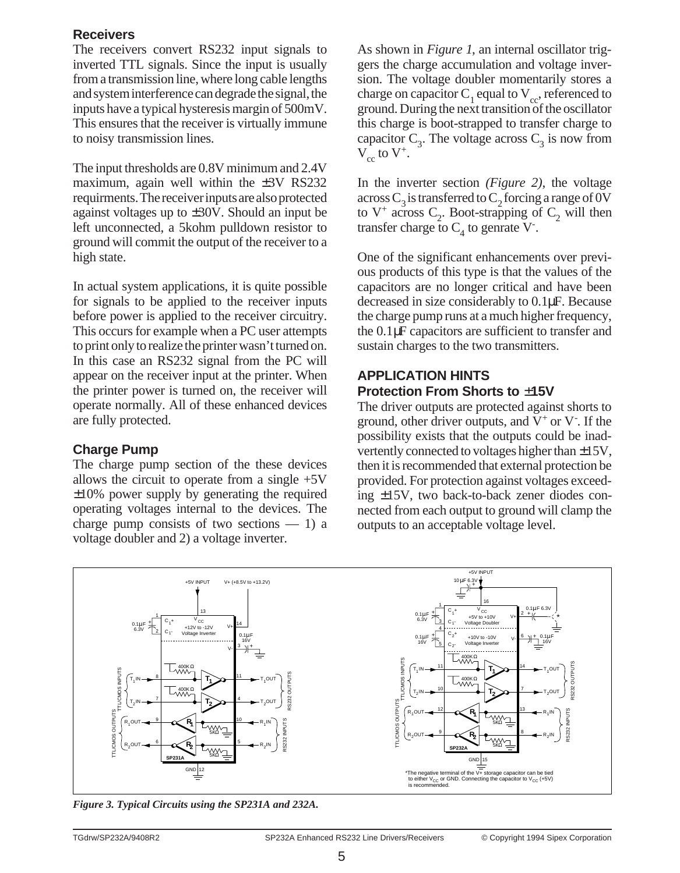#### **Receivers**

The receivers convert RS232 input signals to inverted TTL signals. Since the input is usually from a transmission line, where long cable lengths and system interference can degrade the signal, the inputs have a typical hysteresis margin of 500mV. This ensures that the receiver is virtually immune to noisy transmission lines.

The input thresholds are 0.8V minimum and 2.4V maximum, again well within the ±3V RS232 requirments. The receiver inputs are also protected against voltages up to ±30V. Should an input be left unconnected, a 5kohm pulldown resistor to ground will commit the output of the receiver to a high state.

In actual system applications, it is quite possible for signals to be applied to the receiver inputs before power is applied to the receiver circuitry. This occurs for example when a PC user attempts to print only to realize the printer wasn't turned on. In this case an RS232 signal from the PC will appear on the receiver input at the printer. When the printer power is turned on, the receiver will operate normally. All of these enhanced devices are fully protected.

## **Charge Pump**

The charge pump section of the these devices allows the circuit to operate from a single +5V ±10% power supply by generating the required operating voltages internal to the devices. The charge pump consists of two sections  $-1$ ) a voltage doubler and 2) a voltage inverter.

As shown in *Figure 1*, an internal oscillator triggers the charge accumulation and voltage inversion. The voltage doubler momentarily stores a charge on capacitor  $C_1$  equal to  $V_{cc}$ , referenced to ground. During the next transition of the oscillator this charge is boot-strapped to transfer charge to capacitor  $C_3$ . The voltage across  $C_3$  is now from  $V_{cc}$  to  $V^+$ .

In the inverter section *(Figure 2)*, the voltage across  $C_3$  is transferred to  $C_2$  forcing a range of OV to  $V^+$  across  $C_2$ . Boot-strapping of  $C_2$  will then transfer charge to  $C_4$  to genrate V<sup>-</sup>.

One of the significant enhancements over previous products of this type is that the values of the capacitors are no longer critical and have been decreased in size considerably to 0.1µF. Because the charge pump runs at a much higher frequency, the 0.1µF capacitors are sufficient to transfer and sustain charges to the two transmitters.

#### **APPLICATION HINTS Protection From Shorts to** ±**15V**

The driver outputs are protected against shorts to ground, other driver outputs, and  $V^+$  or  $V^-$ . If the possibility exists that the outputs could be inadvertently connected to voltages higher than  $\pm 15V$ , then it is recommended that external protection be provided. For protection against voltages exceeding ±15V, two back-to-back zener diodes connected from each output to ground will clamp the outputs to an acceptable voltage level.



*Figure 3. Typical Circuits using the SP231A and 232A.*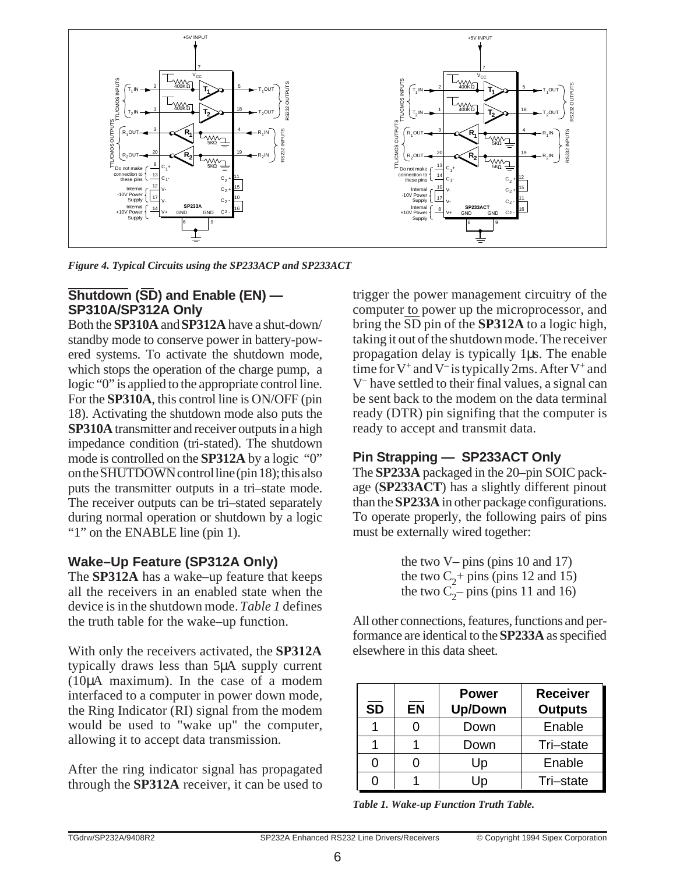

*Figure 4. Typical Circuits using the SP233ACP and SP233ACT*

#### **Shutdown (SD) and Enable (EN) — SP310A/SP312A Only**

Both the **SP310A** and **SP312A** have a shut-down/ standby mode to conserve power in battery-powered systems. To activate the shutdown mode, which stops the operation of the charge pump, a logic "0" is applied to the appropriate control line. For the **SP310A**, this control line is ON/OFF (pin 18). Activating the shutdown mode also puts the **SP310A** transmitter and receiver outputs in a high impedance condition (tri-stated). The shutdown mode is controlled on the **SP312A** by a logic "0" on the SHUTDOWN control line (pin 18); this also puts the transmitter outputs in a tri–state mode. The receiver outputs can be tri–stated separately during normal operation or shutdown by a logic "1" on the ENABLE line (pin 1).

## **Wake–Up Feature (SP312A Only)**

The **SP312A** has a wake–up feature that keeps all the receivers in an enabled state when the device is in the shutdown mode. *Table 1* defines the truth table for the wake–up function.

With only the receivers activated, the **SP312A** typically draws less than 5µA supply current (10µA maximum). In the case of a modem interfaced to a computer in power down mode, the Ring Indicator (RI) signal from the modem would be used to "wake up" the computer, allowing it to accept data transmission.

After the ring indicator signal has propagated through the **SP312A** receiver, it can be used to trigger the power management circuitry of the computer to power up the microprocessor, and bring the SD pin of the **SP312A** to a logic high, taking it out of the shutdown mode. The receiver propagation delay is typically 1µs. The enable time for  $V^+$  and  $V^-$  is typically 2ms. After  $V^+$  and V– have settled to their final values, a signal can be sent back to the modem on the data terminal ready (DTR) pin signifing that the computer is ready to accept and transmit data.

## **Pin Strapping — SP233ACT Only**

The **SP233A** packaged in the 20–pin SOIC package (**SP233ACT**) has a slightly different pinout than the **SP233A** in other package configurations. To operate properly, the following pairs of pins must be externally wired together:

> the two V– pins (pins 10 and 17) the two  $C_2$ + pins (pins 12 and 15) the two  $C_2^-$ -pins (pins 11 and 16)

All other connections, features, functions and performance are identical to the **SP233A** as specified elsewhere in this data sheet.

| $\overline{\text{SD}}$ | EN | <b>Power</b><br><b>Up/Down</b> | <b>Receiver</b><br><b>Outputs</b> |
|------------------------|----|--------------------------------|-----------------------------------|
|                        |    | Down                           | Enable                            |
|                        |    | Down                           | Tri-state                         |
| ი                      |    | Up                             | Enable                            |
|                        |    | Up                             | Tri-state                         |

*Table 1. Wake-up Function Truth Table.*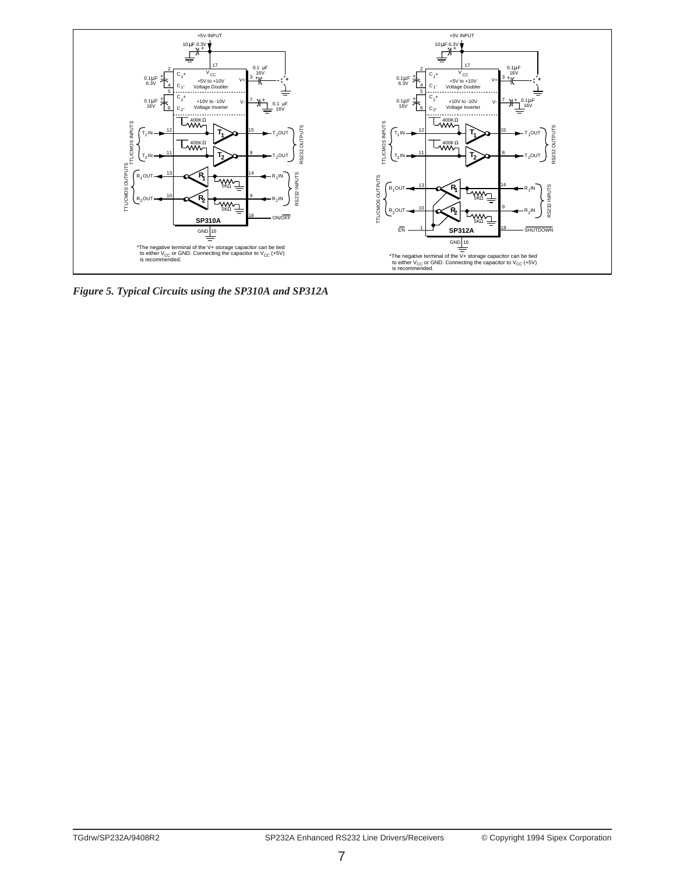

*Figure 5. Typical Circuits using the SP310A and SP312A*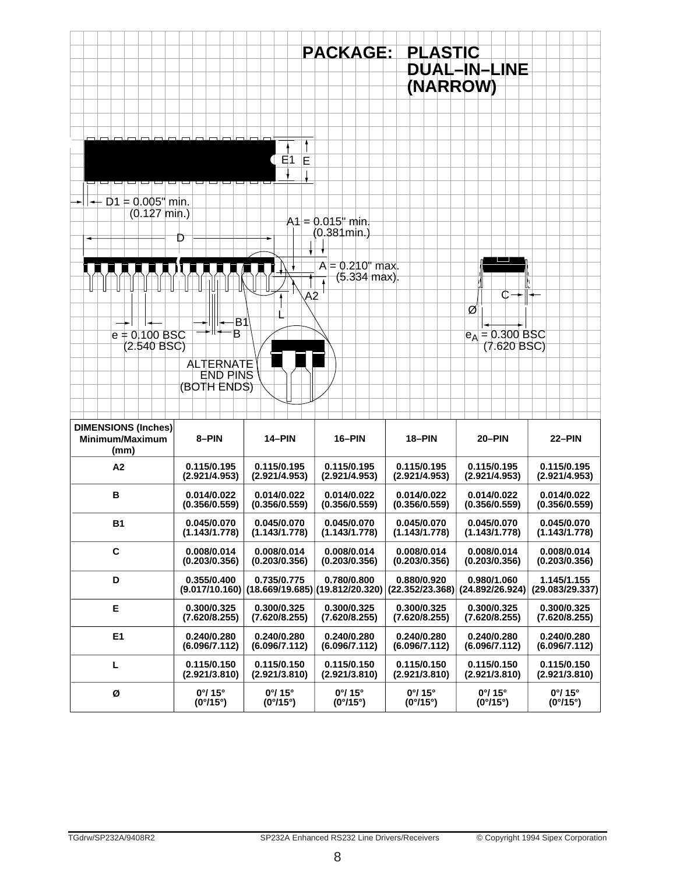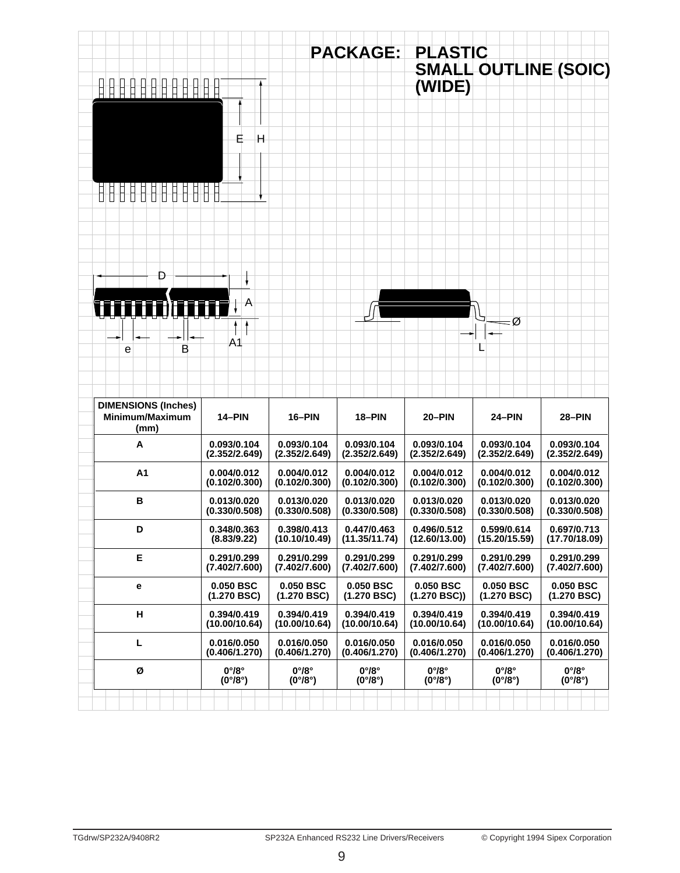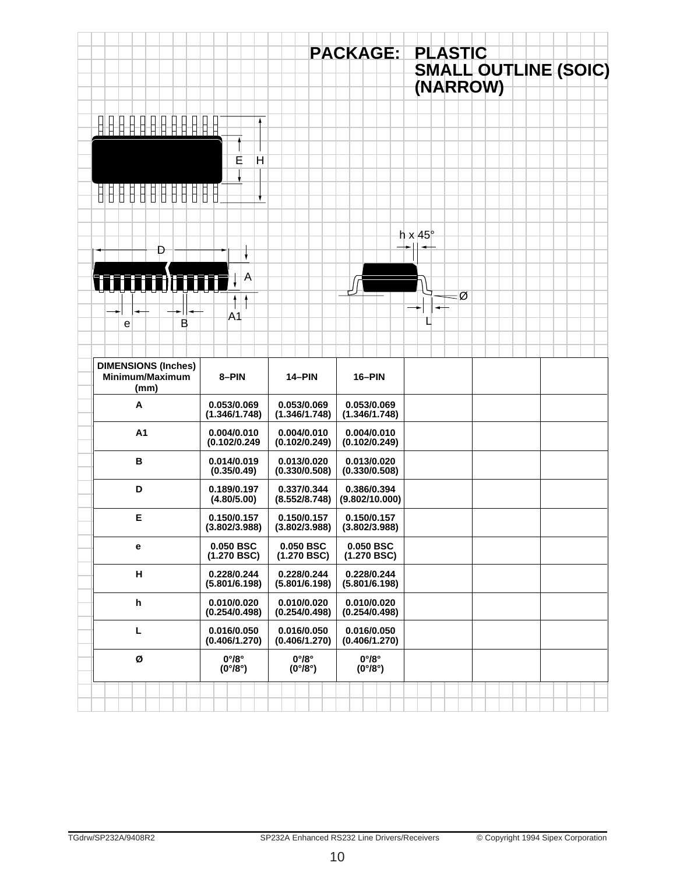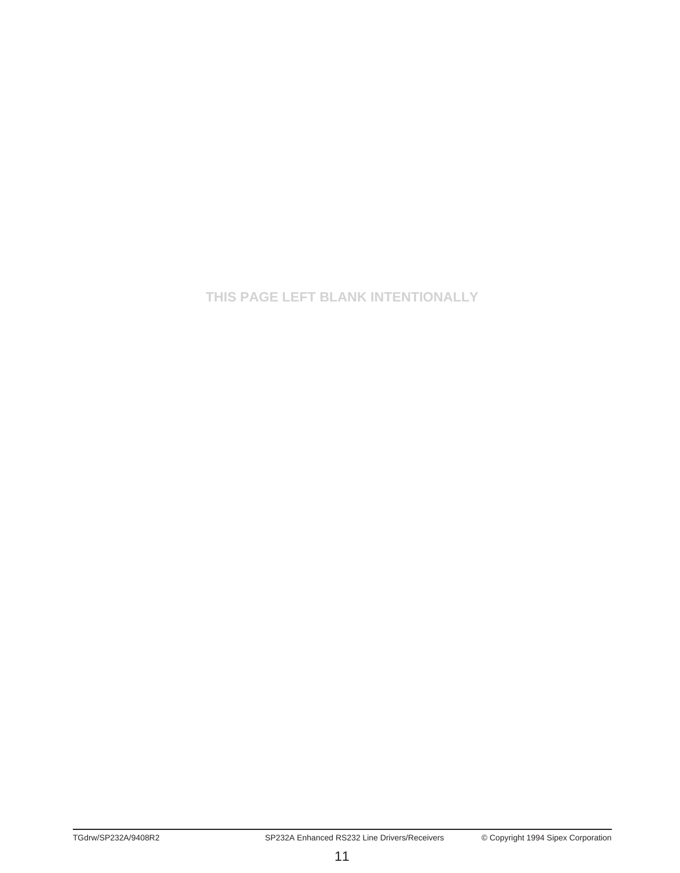**THIS PAGE LEFT BLANK INTENTIONALLY**